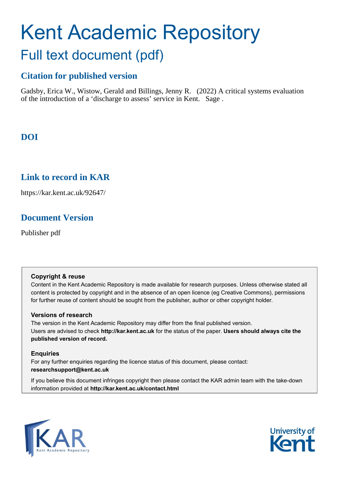# Kent Academic Repository Full text document (pdf)

# **Citation for published version**

Gadsby, Erica W., Wistow, Gerald and Billings, Jenny R. (2022) A critical systems evaluation of the introduction of a 'discharge to assess' service in Kent. Sage .

# **DOI**

# **Link to record in KAR**

https://kar.kent.ac.uk/92647/

# **Document Version**

Publisher pdf

# **Copyright & reuse**

Content in the Kent Academic Repository is made available for research purposes. Unless otherwise stated all content is protected by copyright and in the absence of an open licence (eg Creative Commons), permissions for further reuse of content should be sought from the publisher, author or other copyright holder.

# **Versions of research**

The version in the Kent Academic Repository may differ from the final published version. Users are advised to check **http://kar.kent.ac.uk** for the status of the paper. **Users should always cite the published version of record.**

# **Enquiries**

For any further enquiries regarding the licence status of this document, please contact: **researchsupport@kent.ac.uk**

If you believe this document infringes copyright then please contact the KAR admin team with the take-down information provided at **http://kar.kent.ac.uk/contact.html**



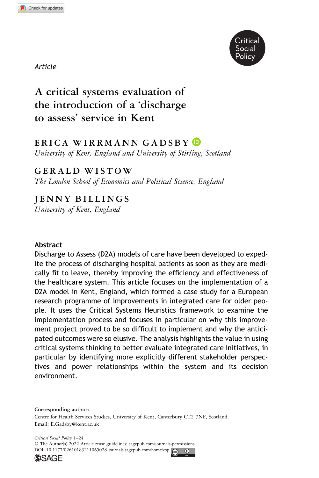



# A critical systems evaluation of the introduction of a 'discharge to assess' service in Kent

# ERICA WIRRMANN GADSBY D

University of Kent, England and University of Stirling, Scotland

# GERALD WISTOW

The London School of Economics and Political Science, England

# JENNY BILLINGS

University of Kent, England

#### Abstract

Discharge to Assess (D2A) models of care have been developed to expedite the process of discharging hospital patients as soon as they are medically fit to leave, thereby improving the efficiency and effectiveness of the healthcare system. This article focuses on the implementation of a D2A model in Kent, England, which formed a case study for a European research programme of improvements in integrated care for older people. It uses the Critical Systems Heuristics framework to examine the implementation process and focuses in particular on why this improvement project proved to be so difficult to implement and why the anticipated outcomes were so elusive. The analysis highlights the value in using critical systems thinking to better evaluate integrated care initiatives, in particular by identifying more explicitly different stakeholder perspectives and power relationships within the system and its decision environment.

Corresponding author: Centre for Health Services Studies, University of Kent, Canterbury CT2 7NF, Scotland. Email: [E.Gadsby@kent.ac.uk](mailto:E.Gadsby@kent.ac.uk)

Critical Social Policy 1–24 © The Author(s) 2022 Article reuse guidelines: [sagepub.com/journals-permissions](https://us.sagepub.com/en-us/journals-permissions) DOI:  $10.1177/02610183211065028$  [journals.sagepub.com/home/csp](https://journals.sagepub.com/home/csp)



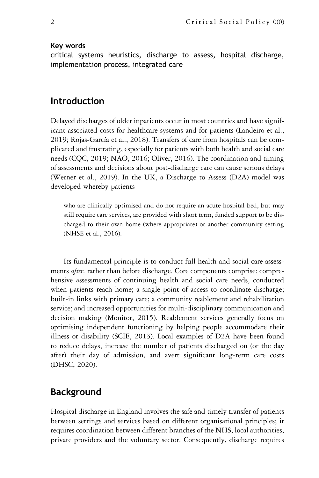#### Key words

critical systems heuristics, discharge to assess, hospital discharge, implementation process, integrated care

## Introduction

Delayed discharges of older inpatients occur in most countries and have significant associated costs for healthcare systems and for patients (Landeiro et al., 2019; Rojas-García et al., 2018). Transfers of care from hospitals can be complicated and frustrating, especially for patients with both health and social care needs (CQC, 2019; NAO, 2016; Oliver, 2016). The coordination and timing of assessments and decisions about post-discharge care can cause serious delays (Werner et al., 2019). In the UK, a Discharge to Assess (D2A) model was developed whereby patients

who are clinically optimised and do not require an acute hospital bed, but may still require care services, are provided with short term, funded support to be discharged to their own home (where appropriate) or another community setting (NHSE et al., 2016).

Its fundamental principle is to conduct full health and social care assessments *after*, rather than before discharge. Core components comprise: comprehensive assessments of continuing health and social care needs, conducted when patients reach home; a single point of access to coordinate discharge; built-in links with primary care; a community reablement and rehabilitation service; and increased opportunities for multi-disciplinary communication and decision making (Monitor, 2015). Reablement services generally focus on optimising independent functioning by helping people accommodate their illness or disability (SCIE, 2013). Local examples of D2A have been found to reduce delays, increase the number of patients discharged on (or the day after) their day of admission, and avert significant long-term care costs (DHSC, 2020).

# Background

Hospital discharge in England involves the safe and timely transfer of patients between settings and services based on different organisational principles; it requires coordination between different branches of the NHS, local authorities, private providers and the voluntary sector. Consequently, discharge requires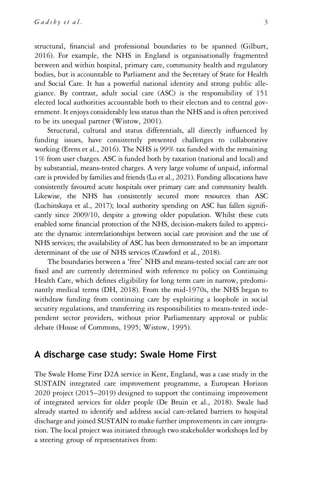structural, financial and professional boundaries to be spanned (Gilburt, 2016). For example, the NHS in England is organisationally fragmented between and within hospital, primary care, community health and regulatory bodies, but is accountable to Parliament and the Secretary of State for Health and Social Care. It has a powerful national identity and strong public allegiance. By contrast, adult social care (ASC) is the responsibility of 151 elected local authorities accountable both to their electors and to central government. It enjoys considerably less status than the NHS and is often perceived to be its unequal partner (Wistow, 2001).

Structural, cultural and status differentials, all directly influenced by funding issues, have consistently presented challenges to collaborative working (Erens et al., 2016). The NHS is 99% tax funded with the remaining 1% from user charges. ASC is funded both by taxation (national and local) and by substantial, means-tested charges. A very large volume of unpaid, informal care is provided by families and friends (Lu et al., 2021). Funding allocations have consistently favoured acute hospitals over primary care and community health. Likewise, the NHS has consistently secured more resources than ASC (Luchinskaya et al., 2017); local authority spending on ASC has fallen significantly since 2009/10, despite a growing older population. Whilst these cuts enabled some financial protection of the NHS, decision-makers failed to appreciate the dynamic interrelationships between social care provision and the use of NHS services; the availability of ASC has been demonstrated to be an important determinant of the use of NHS services (Crawford et al., 2018).

The boundaries between a 'free' NHS and means-tested social care are not fixed and are currently determined with reference to policy on Continuing Health Care, which defines eligibility for long term care in narrow, predominantly medical terms (DH, 2018). From the mid-1970s, the NHS began to withdraw funding from continuing care by exploiting a loophole in social security regulations, and transferring its responsibilities to means-tested independent sector providers, without prior Parliamentary approval or public debate (House of Commons, 1995; Wistow, 1995).

# A discharge case study: Swale Home First

The Swale Home First D2A service in Kent, England, was a case study in the SUSTAIN integrated care improvement programme, a European Horizon 2020 project (2015–2019) designed to support the continuing improvement of integrated services for older people (De Bruin et al., 2018). Swale had already started to identify and address social care-related barriers to hospital discharge and joined SUSTAIN to make further improvements in care integration. The local project was initiated through two stakeholder workshops led by a steering group of representatives from: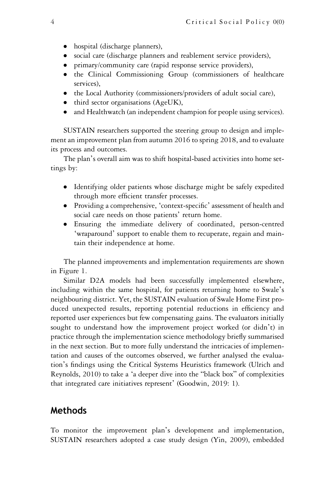- hospital (discharge planners),
- social care (discharge planners and reablement service providers),
- primary/community care (rapid response service providers),
- the Clinical Commissioning Group (commissioners of healthcare services),
- the Local Authority (commissioners/providers of adult social care),
- third sector organisations (AgeUK),
- and Healthwatch (an independent champion for people using services).

SUSTAIN researchers supported the steering group to design and implement an improvement plan from autumn 2016 to spring 2018, and to evaluate its process and outcomes.

The plan's overall aim was to shift hospital-based activities into home settings by:

- Identifying older patients whose discharge might be safely expedited through more efficient transfer processes.
- Providing a comprehensive, 'context-specific' assessment of health and social care needs on those patients' return home.
- Ensuring the immediate delivery of coordinated, person-centred 'wraparound' support to enable them to recuperate, regain and maintain their independence at home.

The planned improvements and implementation requirements are shown in Figure 1.

Similar D2A models had been successfully implemented elsewhere, including within the same hospital, for patients returning home to Swale's neighbouring district. Yet, the SUSTAIN evaluation of Swale Home First produced unexpected results, reporting potential reductions in efficiency and reported user experiences but few compensating gains. The evaluators initially sought to understand how the improvement project worked (or didn't) in practice through the implementation science methodology briefly summarised in the next section. But to more fully understand the intricacies of implementation and causes of the outcomes observed, we further analysed the evaluation's findings using the Critical Systems Heuristics framework (Ulrich and Reynolds, 2010) to take a 'a deeper dive into the "black box" of complexities that integrated care initiatives represent' (Goodwin, 2019: 1).

# Methods

To monitor the improvement plan's development and implementation, SUSTAIN researchers adopted a case study design (Yin, 2009), embedded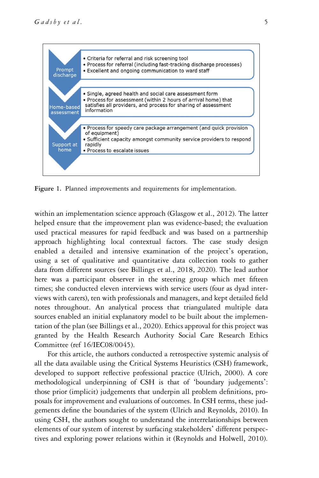

Figure 1. Planned improvements and requirements for implementation.

within an implementation science approach (Glasgow et al., 2012). The latter helped ensure that the improvement plan was evidence-based; the evaluation used practical measures for rapid feedback and was based on a partnership approach highlighting local contextual factors. The case study design enabled a detailed and intensive examination of the project's operation, using a set of qualitative and quantitative data collection tools to gather data from different sources (see Billings et al., 2018, 2020). The lead author here was a participant observer in the steering group which met fifteen times; she conducted eleven interviews with service users (four as dyad interviews with carers), ten with professionals and managers, and kept detailed field notes throughout. An analytical process that triangulated multiple data sources enabled an initial explanatory model to be built about the implementation of the plan (see Billings et al., 2020). Ethics approval for this project was granted by the Health Research Authority Social Care Research Ethics Committee (ref 16/IEC08/0045).

For this article, the authors conducted a retrospective systemic analysis of all the data available using the Critical Systems Heuristics (CSH) framework, developed to support reflective professional practice (Ulrich, 2000). A core methodological underpinning of CSH is that of 'boundary judgements': those prior (implicit) judgements that underpin all problem definitions, proposals for improvement and evaluations of outcomes. In CSH terms, these judgements define the boundaries of the system (Ulrich and Reynolds, 2010). In using CSH, the authors sought to understand the interrelationships between elements of our system of interest by surfacing stakeholders' different perspectives and exploring power relations within it (Reynolds and Holwell, 2010).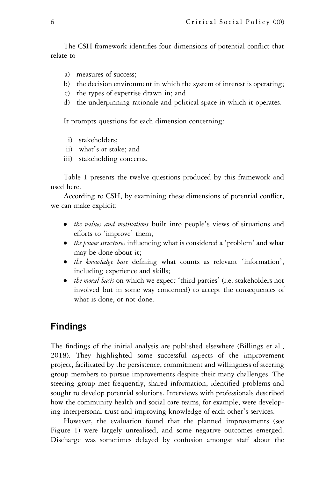The CSH framework identifies four dimensions of potential conflict that relate to

- a) measures of success;
- b) the decision environment in which the system of interest is operating;
- c) the types of expertise drawn in; and
- d) the underpinning rationale and political space in which it operates.

It prompts questions for each dimension concerning:

- i) stakeholders;
- ii) what's at stake; and
- iii) stakeholding concerns.

Table 1 presents the twelve questions produced by this framework and used here.

According to CSH, by examining these dimensions of potential conflict, we can make explicit:

- the values and motivations built into people's views of situations and efforts to 'improve' them;
- *the power structures* influencing what is considered a 'problem' and what may be done about it;
- the knowledge base defining what counts as relevant 'information', including experience and skills;
- *the moral basis* on which we expect 'third parties' (i.e. stakeholders not involved but in some way concerned) to accept the consequences of what is done, or not done.

## Findings

The findings of the initial analysis are published elsewhere (Billings et al., 2018). They highlighted some successful aspects of the improvement project, facilitated by the persistence, commitment and willingness of steering group members to pursue improvements despite their many challenges. The steering group met frequently, shared information, identified problems and sought to develop potential solutions. Interviews with professionals described how the community health and social care teams, for example, were developing interpersonal trust and improving knowledge of each other's services.

However, the evaluation found that the planned improvements (see Figure 1) were largely unrealised, and some negative outcomes emerged. Discharge was sometimes delayed by confusion amongst staff about the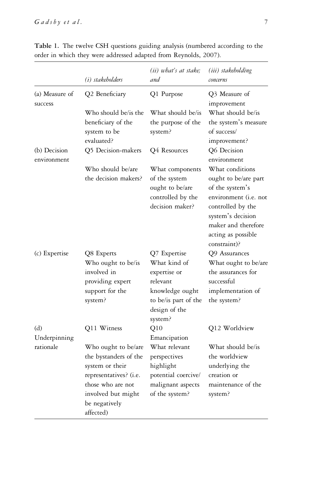|                             | (i) stakeholders                                                                                                                                                   | (ii) what's at stake:<br>and                                                                                                    | (iii) stakeholding<br>concerns                                                                                                                                                             |
|-----------------------------|--------------------------------------------------------------------------------------------------------------------------------------------------------------------|---------------------------------------------------------------------------------------------------------------------------------|--------------------------------------------------------------------------------------------------------------------------------------------------------------------------------------------|
| (a) Measure of<br>success   | Q2 Beneficiary                                                                                                                                                     | Q1 Purpose                                                                                                                      | Q3 Measure of<br>improvement                                                                                                                                                               |
|                             | Who should be/is the<br>beneficiary of the<br>system to be<br>evaluated?                                                                                           | What should be/is<br>the purpose of the<br>system?                                                                              | What should be/is<br>the system's measure<br>of success/<br>improvement?                                                                                                                   |
| (b) Decision<br>environment | Q5 Decision-makers                                                                                                                                                 | Q4 Resources                                                                                                                    | Q6 Decision<br>environment                                                                                                                                                                 |
|                             | Who should be/are<br>the decision makers?                                                                                                                          | What components<br>of the system<br>ought to be/are<br>controlled by the<br>decision maker?                                     | What conditions<br>ought to be/are part<br>of the system's<br>environment (i.e. not<br>controlled by the<br>system's decision<br>maker and therefore<br>acting as possible<br>constraint)? |
| (c) Expertise               | Q8 Experts<br>Who ought to be/is<br>involved in<br>providing expert<br>support for the<br>system?                                                                  | Q7 Expertise<br>What kind of<br>expertise or<br>relevant<br>knowledge ought<br>to be/is part of the<br>design of the<br>system? | Q9 Assurances<br>What ought to be/are<br>the assurances for<br>successful<br>implementation of<br>the system?                                                                              |
| (d)<br>Underpinning         | Q11 Witness                                                                                                                                                        | Q10<br>Emancipation                                                                                                             | Q12 Worldview                                                                                                                                                                              |
| rationale                   | Who ought to be/are<br>the bystanders of the<br>system or their<br>representatives? (i.e.<br>those who are not<br>involved but might<br>be negatively<br>affected) | What relevant<br>perspectives<br>highlight<br>potential coercive/<br>malignant aspects<br>of the system?                        | What should be/is<br>the worldview<br>underlying the<br>creation or<br>maintenance of the<br>system?                                                                                       |

Table 1. The twelve CSH questions guiding analysis (numbered according to the order in which they were addressed adapted from Reynolds, 2007).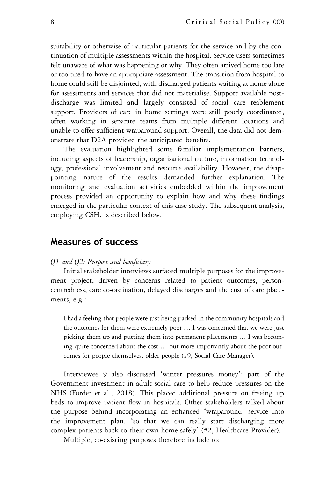suitability or otherwise of particular patients for the service and by the continuation of multiple assessments within the hospital. Service users sometimes felt unaware of what was happening or why. They often arrived home too late or too tired to have an appropriate assessment. The transition from hospital to home could still be disjointed, with discharged patients waiting at home alone for assessments and services that did not materialise. Support available postdischarge was limited and largely consisted of social care reablement support. Providers of care in home settings were still poorly coordinated, often working in separate teams from multiple different locations and unable to offer sufficient wraparound support. Overall, the data did not demonstrate that D2A provided the anticipated benefits.

The evaluation highlighted some familiar implementation barriers, including aspects of leadership, organisational culture, information technology, professional involvement and resource availability. However, the disappointing nature of the results demanded further explanation. The monitoring and evaluation activities embedded within the improvement process provided an opportunity to explain how and why these findings emerged in the particular context of this case study. The subsequent analysis, employing CSH, is described below.

## Measures of success

#### Q1 and Q2: Purpose and beneficiary

Initial stakeholder interviews surfaced multiple purposes for the improvement project, driven by concerns related to patient outcomes, personcentredness, care co-ordination, delayed discharges and the cost of care placements, e.g.:

I had a feeling that people were just being parked in the community hospitals and the outcomes for them were extremely poor … I was concerned that we were just picking them up and putting them into permanent placements … I was becoming quite concerned about the cost … but more importantly about the poor outcomes for people themselves, older people (#9, Social Care Manager).

Interviewee 9 also discussed 'winter pressures money': part of the Government investment in adult social care to help reduce pressures on the NHS (Forder et al., 2018). This placed additional pressure on freeing up beds to improve patient flow in hospitals. Other stakeholders talked about the purpose behind incorporating an enhanced 'wraparound' service into the improvement plan, 'so that we can really start discharging more complex patients back to their own home safely' (#2, Healthcare Provider).

Multiple, co-existing purposes therefore include to: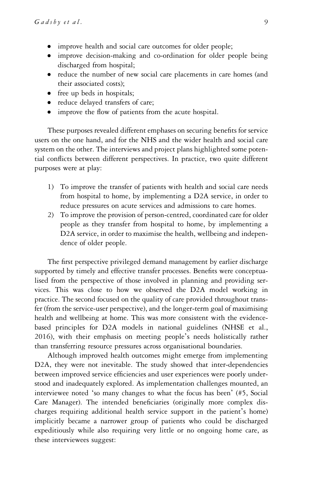- improve health and social care outcomes for older people;
- improve decision-making and co-ordination for older people being discharged from hospital;
- reduce the number of new social care placements in care homes (and their associated costs);
- free up beds in hospitals;
- reduce delayed transfers of care;
- improve the flow of patients from the acute hospital.

These purposes revealed different emphases on securing benefits for service users on the one hand, and for the NHS and the wider health and social care system on the other. The interviews and project plans highlighted some potential conflicts between different perspectives. In practice, two quite different purposes were at play:

- 1) To improve the transfer of patients with health and social care needs from hospital to home, by implementing a D2A service, in order to reduce pressures on acute services and admissions to care homes.
- 2) To improve the provision of person-centred, coordinated care for older people as they transfer from hospital to home, by implementing a D2A service, in order to maximise the health, wellbeing and independence of older people.

The first perspective privileged demand management by earlier discharge supported by timely and effective transfer processes. Benefits were conceptualised from the perspective of those involved in planning and providing services. This was close to how we observed the D2A model working in practice. The second focused on the quality of care provided throughout transfer (from the service-user perspective), and the longer-term goal of maximising health and wellbeing at home. This was more consistent with the evidencebased principles for D2A models in national guidelines (NHSE et al., 2016), with their emphasis on meeting people's needs holistically rather than transferring resource pressures across organisational boundaries.

Although improved health outcomes might emerge from implementing D2A, they were not inevitable. The study showed that inter-dependencies between improved service efficiencies and user experiences were poorly understood and inadequately explored. As implementation challenges mounted, an interviewee noted 'so many changes to what the focus has been' (#5, Social Care Manager). The intended beneficiaries (originally more complex discharges requiring additional health service support in the patient's home) implicitly became a narrower group of patients who could be discharged expeditiously while also requiring very little or no ongoing home care, as these interviewees suggest: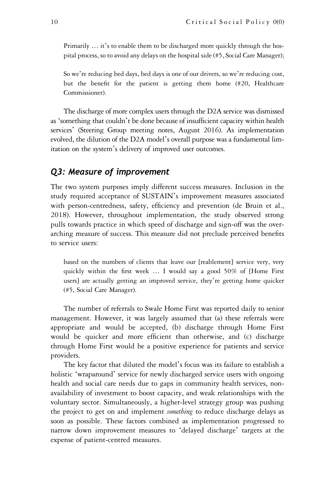Primarily ... it's to enable them to be discharged more quickly through the hospital process, so to avoid any delays on the hospital side (#5, Social Care Manager);

So we're reducing bed days, bed days is one of our drivers, so we're reducing cost, but the benefit for the patient is getting them home (#20, Healthcare Commissioner).

The discharge of more complex users through the D2A service was dismissed as 'something that couldn't be done because of insufficient capacity within health services' (Steering Group meeting notes, August 2016). As implementation evolved, the dilution of the D2A model's overall purpose was a fundamental limitation on the system's delivery of improved user outcomes.

#### Q3: Measure of improvement

The two system purposes imply different success measures. Inclusion in the study required acceptance of SUSTAIN's improvement measures associated with person-centredness, safety, efficiency and prevention (de Bruin et al., 2018). However, throughout implementation, the study observed strong pulls towards practice in which speed of discharge and sign-off was the overarching measure of success. This measure did not preclude perceived benefits to service users:

based on the numbers of clients that leave our [reablement] service very, very quickly within the first week … I would say a good 50% of [Home First users] are actually getting an improved service, they're getting home quicker (#5, Social Care Manager).

The number of referrals to Swale Home First was reported daily to senior management. However, it was largely assumed that (a) these referrals were appropriate and would be accepted, (b) discharge through Home First would be quicker and more efficient than otherwise, and (c) discharge through Home First would be a positive experience for patients and service providers.

The key factor that diluted the model's focus was its failure to establish a holistic 'wraparound' service for newly discharged service users with ongoing health and social care needs due to gaps in community health services, nonavailability of investment to boost capacity, and weak relationships with the voluntary sector. Simultaneously, a higher-level strategy group was pushing the project to get on and implement *something* to reduce discharge delays as soon as possible. These factors combined as implementation progressed to narrow down improvement measures to 'delayed discharge' targets at the expense of patient-centred measures.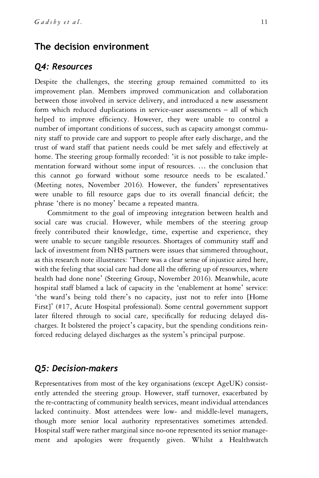# The decision environment

#### Q4: Resources

Despite the challenges, the steering group remained committed to its improvement plan. Members improved communication and collaboration between those involved in service delivery, and introduced a new assessment form which reduced duplications in service-user assessments – all of which helped to improve efficiency. However, they were unable to control a number of important conditions of success, such as capacity amongst community staff to provide care and support to people after early discharge, and the trust of ward staff that patient needs could be met safely and effectively at home. The steering group formally recorded: 'it is not possible to take implementation forward without some input of resources. … the conclusion that this cannot go forward without some resource needs to be escalated.' (Meeting notes, November 2016). However, the funders' representatives were unable to fill resource gaps due to its overall financial deficit; the phrase 'there is no money' became a repeated mantra.

Commitment to the goal of improving integration between health and social care was crucial. However, while members of the steering group freely contributed their knowledge, time, expertise and experience, they were unable to secure tangible resources. Shortages of community staff and lack of investment from NHS partners were issues that simmered throughout, as this research note illustrates: 'There was a clear sense of injustice aired here, with the feeling that social care had done all the offering up of resources, where health had done none' (Steering Group, November 2016). Meanwhile, acute hospital staff blamed a lack of capacity in the 'enablement at home' service: 'the ward's being told there's no capacity, just not to refer into [Home First]' (#17, Acute Hospital professional). Some central government support later filtered through to social care, specifically for reducing delayed discharges. It bolstered the project's capacity, but the spending conditions reinforced reducing delayed discharges as the system's principal purpose.

#### Q5: Decision-makers

Representatives from most of the key organisations (except AgeUK) consistently attended the steering group. However, staff turnover, exacerbated by the re-contracting of community health services, meant individual attendances lacked continuity. Most attendees were low- and middle-level managers, though more senior local authority representatives sometimes attended. Hospital staff were rather marginal since no-one represented its senior management and apologies were frequently given. Whilst a Healthwatch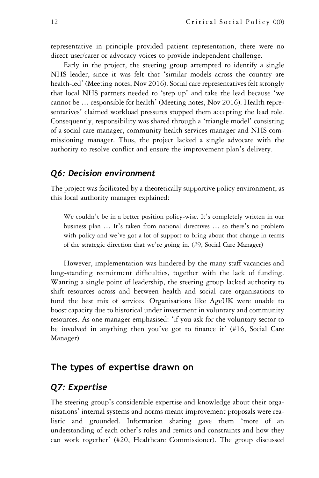representative in principle provided patient representation, there were no direct user/carer or advocacy voices to provide independent challenge.

Early in the project, the steering group attempted to identify a single NHS leader, since it was felt that 'similar models across the country are health-led' (Meeting notes, Nov 2016). Social care representatives felt strongly that local NHS partners needed to 'step up' and take the lead because 'we cannot be … responsible for health' (Meeting notes, Nov 2016). Health representatives' claimed workload pressures stopped them accepting the lead role. Consequently, responsibility was shared through a 'triangle model' consisting of a social care manager, community health services manager and NHS commissioning manager. Thus, the project lacked a single advocate with the authority to resolve conflict and ensure the improvement plan's delivery.

#### Q6: Decision environment

The project was facilitated by a theoretically supportive policy environment, as this local authority manager explained:

We couldn't be in a better position policy-wise. It's completely written in our business plan … It's taken from national directives … so there's no problem with policy and we've got a lot of support to bring about that change in terms of the strategic direction that we're going in. (#9, Social Care Manager)

However, implementation was hindered by the many staff vacancies and long-standing recruitment difficulties, together with the lack of funding. Wanting a single point of leadership, the steering group lacked authority to shift resources across and between health and social care organisations to fund the best mix of services. Organisations like AgeUK were unable to boost capacity due to historical under investment in voluntary and community resources. As one manager emphasised: 'if you ask for the voluntary sector to be involved in anything then you've got to finance it' (#16, Social Care Manager).

## The types of expertise drawn on

# Q7: Expertise

The steering group's considerable expertise and knowledge about their organisations' internal systems and norms meant improvement proposals were realistic and grounded. Information sharing gave them 'more of an understanding of each other's roles and remits and constraints and how they can work together' (#20, Healthcare Commissioner). The group discussed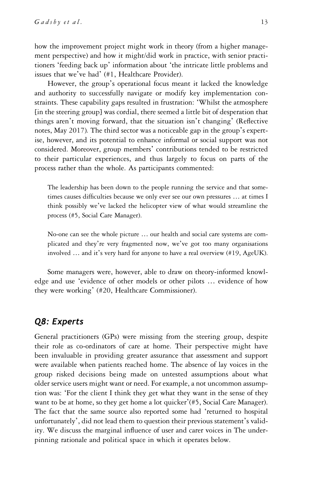how the improvement project might work in theory (from a higher management perspective) and how it might/did work in practice, with senior practitioners 'feeding back up' information about 'the intricate little problems and issues that we've had' (#1, Healthcare Provider).

However, the group's operational focus meant it lacked the knowledge and authority to successfully navigate or modify key implementation constraints. These capability gaps resulted in frustration: 'Whilst the atmosphere [in the steering group] was cordial, there seemed a little bit of desperation that things aren't moving forward, that the situation isn't changing' (Reflective notes, May 2017). The third sector was a noticeable gap in the group's expertise, however, and its potential to enhance informal or social support was not considered. Moreover, group members' contributions tended to be restricted to their particular experiences, and thus largely to focus on parts of the process rather than the whole. As participants commented:

The leadership has been down to the people running the service and that sometimes causes difficulties because we only ever see our own pressures … at times I think possibly we've lacked the helicopter view of what would streamline the process (#5, Social Care Manager).

No-one can see the whole picture … our health and social care systems are complicated and they're very fragmented now, we've got too many organisations involved … and it's very hard for anyone to have a real overview (#19, AgeUK).

Some managers were, however, able to draw on theory-informed knowledge and use 'evidence of other models or other pilots … evidence of how they were working' (#20, Healthcare Commissioner).

# Q8: Experts

General practitioners (GPs) were missing from the steering group, despite their role as co-ordinators of care at home. Their perspective might have been invaluable in providing greater assurance that assessment and support were available when patients reached home. The absence of lay voices in the group risked decisions being made on untested assumptions about what older service users might want or need. For example, a not uncommon assumption was: 'For the client I think they get what they want in the sense of they want to be at home, so they get home a lot quicker'(#5, Social Care Manager). The fact that the same source also reported some had 'returned to hospital unfortunately', did not lead them to question their previous statement's validity. We discuss the marginal influence of user and carer voices in The underpinning rationale and political space in which it operates below.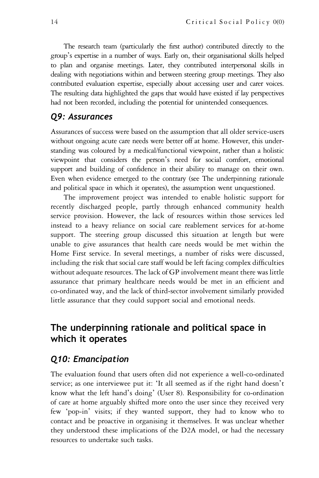The research team (particularly the first author) contributed directly to the group's expertise in a number of ways. Early on, their organisational skills helped to plan and organise meetings. Later, they contributed interpersonal skills in dealing with negotiations within and between steering group meetings. They also contributed evaluation expertise, especially about accessing user and carer voices. The resulting data highlighted the gaps that would have existed if lay perspectives had not been recorded, including the potential for unintended consequences.

#### Q9: Assurances

Assurances of success were based on the assumption that all older service-users without ongoing acute care needs were better off at home. However, this understanding was coloured by a medical/functional viewpoint, rather than a holistic viewpoint that considers the person's need for social comfort, emotional support and building of confidence in their ability to manage on their own. Even when evidence emerged to the contrary (see The underpinning rationale and political space in which it operates), the assumption went unquestioned.

The improvement project was intended to enable holistic support for recently discharged people, partly through enhanced community health service provision. However, the lack of resources within those services led instead to a heavy reliance on social care reablement services for at-home support. The steering group discussed this situation at length but were unable to give assurances that health care needs would be met within the Home First service. In several meetings, a number of risks were discussed, including the risk that social care staff would be left facing complex difficulties without adequate resources. The lack of GP involvement meant there was little assurance that primary healthcare needs would be met in an efficient and co-ordinated way, and the lack of third-sector involvement similarly provided little assurance that they could support social and emotional needs.

# The underpinning rationale and political space in which it operates

# Q10: Emancipation

The evaluation found that users often did not experience a well-co-ordinated service; as one interviewee put it: 'It all seemed as if the right hand doesn't know what the left hand's doing' (User 8). Responsibility for co-ordination of care at home arguably shifted more onto the user since they received very few 'pop-in' visits; if they wanted support, they had to know who to contact and be proactive in organising it themselves. It was unclear whether they understood these implications of the D2A model, or had the necessary resources to undertake such tasks.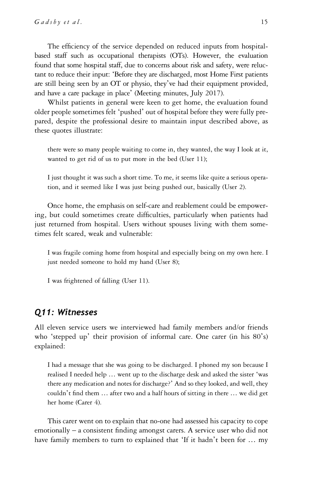The efficiency of the service depended on reduced inputs from hospitalbased staff such as occupational therapists (OTs). However, the evaluation found that some hospital staff, due to concerns about risk and safety, were reluctant to reduce their input: 'Before they are discharged, most Home First patients are still being seen by an OT or physio, they've had their equipment provided, and have a care package in place' (Meeting minutes, July 2017).

Whilst patients in general were keen to get home, the evaluation found older people sometimes felt 'pushed' out of hospital before they were fully prepared, despite the professional desire to maintain input described above, as these quotes illustrate:

there were so many people waiting to come in, they wanted, the way I look at it, wanted to get rid of us to put more in the bed (User 11);

I just thought it was such a short time. To me, it seems like quite a serious operation, and it seemed like I was just being pushed out, basically (User 2).

Once home, the emphasis on self-care and reablement could be empowering, but could sometimes create difficulties, particularly when patients had just returned from hospital. Users without spouses living with them sometimes felt scared, weak and vulnerable:

I was fragile coming home from hospital and especially being on my own here. I just needed someone to hold my hand (User 8);

I was frightened of falling (User 11).

#### Q11: Witnesses

All eleven service users we interviewed had family members and/or friends who 'stepped up' their provision of informal care. One carer (in his 80's) explained:

I had a message that she was going to be discharged. I phoned my son because I realised I needed help … went up to the discharge desk and asked the sister 'was there any medication and notes for discharge?' And so they looked, and well, they couldn't find them … after two and a half hours of sitting in there … we did get her home (Carer 4).

This carer went on to explain that no-one had assessed his capacity to cope emotionally – a consistent finding amongst carers. A service user who did not have family members to turn to explained that 'If it hadn't been for ... my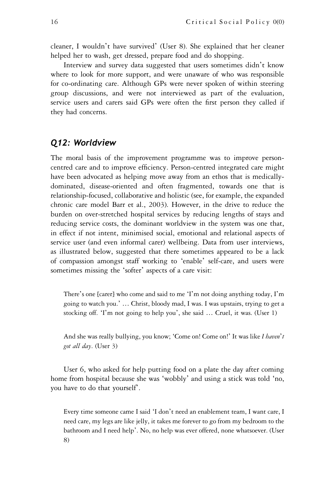cleaner, I wouldn't have survived' (User 8). She explained that her cleaner helped her to wash, get dressed, prepare food and do shopping.

Interview and survey data suggested that users sometimes didn't know where to look for more support, and were unaware of who was responsible for co-ordinating care. Although GPs were never spoken of within steering group discussions, and were not interviewed as part of the evaluation, service users and carers said GPs were often the first person they called if they had concerns.

#### Q12: Worldview

The moral basis of the improvement programme was to improve personcentred care and to improve efficiency. Person-centred integrated care might have been advocated as helping move away from an ethos that is medicallydominated, disease-oriented and often fragmented, towards one that is relationship-focused, collaborative and holistic (see, for example, the expanded chronic care model Barr et al., 2003). However, in the drive to reduce the burden on over-stretched hospital services by reducing lengths of stays and reducing service costs, the dominant worldview in the system was one that, in effect if not intent, minimised social, emotional and relational aspects of service user (and even informal carer) wellbeing. Data from user interviews, as illustrated below, suggested that there sometimes appeared to be a lack of compassion amongst staff working to 'enable' self-care, and users were sometimes missing the 'softer' aspects of a care visit:

There's one [carer] who come and said to me 'I'm not doing anything today, I'm going to watch you.' … Christ, bloody mad, I was. I was upstairs, trying to get a stocking off. 'I'm not going to help you', she said … Cruel, it was. (User 1)

And she was really bullying, you know; 'Come on! Come on!' It was like I haven't got all day. (User 3)

User 6, who asked for help putting food on a plate the day after coming home from hospital because she was 'wobbly' and using a stick was told 'no, you have to do that yourself'.

Every time someone came I said 'I don't need an enablement team, I want care, I need care, my legs are like jelly, it takes me forever to go from my bedroom to the bathroom and I need help'. No, no help was ever offered, none whatsoever. (User 8)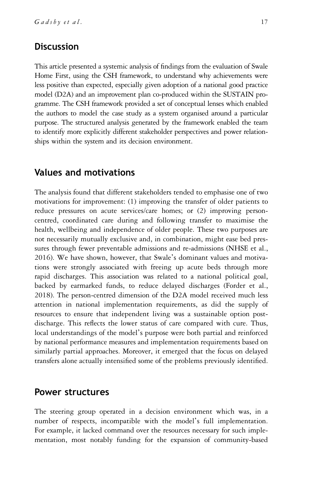# **Discussion**

This article presented a systemic analysis of findings from the evaluation of Swale Home First, using the CSH framework, to understand why achievements were less positive than expected, especially given adoption of a national good practice model (D2A) and an improvement plan co-produced within the SUSTAIN programme. The CSH framework provided a set of conceptual lenses which enabled the authors to model the case study as a system organised around a particular purpose. The structured analysis generated by the framework enabled the team to identify more explicitly different stakeholder perspectives and power relationships within the system and its decision environment.

# Values and motivations

The analysis found that different stakeholders tended to emphasise one of two motivations for improvement: (1) improving the transfer of older patients to reduce pressures on acute services/care homes; or (2) improving personcentred, coordinated care during and following transfer to maximise the health, wellbeing and independence of older people. These two purposes are not necessarily mutually exclusive and, in combination, might ease bed pressures through fewer preventable admissions and re-admissions (NHSE et al., 2016). We have shown, however, that Swale's dominant values and motivations were strongly associated with freeing up acute beds through more rapid discharges. This association was related to a national political goal, backed by earmarked funds, to reduce delayed discharges (Forder et al., 2018). The person-centred dimension of the D2A model received much less attention in national implementation requirements, as did the supply of resources to ensure that independent living was a sustainable option postdischarge. This reflects the lower status of care compared with cure. Thus, local understandings of the model's purpose were both partial and reinforced by national performance measures and implementation requirements based on similarly partial approaches. Moreover, it emerged that the focus on delayed transfers alone actually intensified some of the problems previously identified.

#### Power structures

The steering group operated in a decision environment which was, in a number of respects, incompatible with the model's full implementation. For example, it lacked command over the resources necessary for such implementation, most notably funding for the expansion of community-based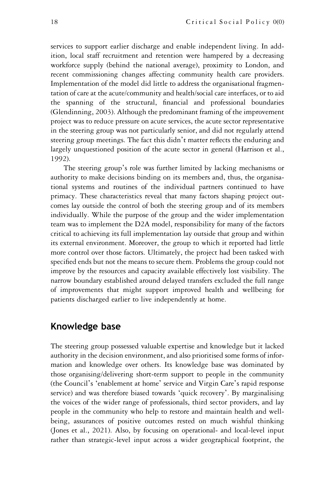services to support earlier discharge and enable independent living. In addition, local staff recruitment and retention were hampered by a decreasing workforce supply (behind the national average), proximity to London, and recent commissioning changes affecting community health care providers. Implementation of the model did little to address the organisational fragmentation of care at the acute/community and health/social care interfaces, or to aid the spanning of the structural, financial and professional boundaries (Glendinning, 2003). Although the predominant framing of the improvement project was to reduce pressure on acute services, the acute sector representative in the steering group was not particularly senior, and did not regularly attend steering group meetings. The fact this didn't matter reflects the enduring and largely unquestioned position of the acute sector in general (Harrison et al., 1992).

The steering group's role was further limited by lacking mechanisms or authority to make decisions binding on its members and, thus, the organisational systems and routines of the individual partners continued to have primacy. These characteristics reveal that many factors shaping project outcomes lay outside the control of both the steering group and of its members individually. While the purpose of the group and the wider implementation team was to implement the D2A model, responsibility for many of the factors critical to achieving its full implementation lay outside that group and within its external environment. Moreover, the group to which it reported had little more control over those factors. Ultimately, the project had been tasked with specified ends but not the means to secure them. Problems the group could not improve by the resources and capacity available effectively lost visibility. The narrow boundary established around delayed transfers excluded the full range of improvements that might support improved health and wellbeing for patients discharged earlier to live independently at home.

# Knowledge base

The steering group possessed valuable expertise and knowledge but it lacked authority in the decision environment, and also prioritised some forms of information and knowledge over others. Its knowledge base was dominated by those organising/delivering short-term support to people in the community (the Council's 'enablement at home' service and Virgin Care's rapid response service) and was therefore biased towards 'quick recovery'. By marginalising the voices of the wider range of professionals, third sector providers, and lay people in the community who help to restore and maintain health and wellbeing, assurances of positive outcomes rested on much wishful thinking (Jones et al., 2021). Also, by focusing on operational- and local-level input rather than strategic-level input across a wider geographical footprint, the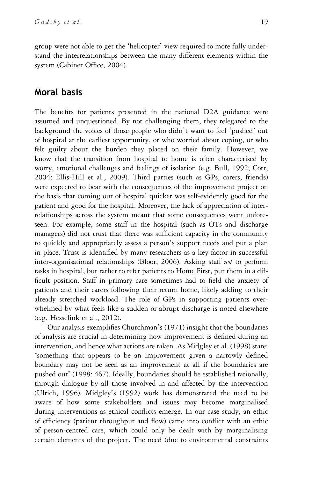group were not able to get the 'helicopter' view required to more fully understand the interrelationships between the many different elements within the system (Cabinet Office, 2004).

# Moral basis

The benefits for patients presented in the national D2A guidance were assumed and unquestioned. By not challenging them, they relegated to the background the voices of those people who didn't want to feel 'pushed' out of hospital at the earliest opportunity, or who worried about coping, or who felt guilty about the burden they placed on their family. However, we know that the transition from hospital to home is often characterised by worry, emotional challenges and feelings of isolation (e.g. Bull, 1992; Cott, 2004; Ellis-Hill et al., 2009). Third parties (such as GPs, carers, friends) were expected to bear with the consequences of the improvement project on the basis that coming out of hospital quicker was self-evidently good for the patient and good for the hospital. Moreover, the lack of appreciation of interrelationships across the system meant that some consequences went unforeseen. For example, some staff in the hospital (such as OTs and discharge managers) did not trust that there was sufficient capacity in the community to quickly and appropriately assess a person's support needs and put a plan in place. Trust is identified by many researchers as a key factor in successful inter-organisational relationships (Bloor, 2006). Asking staff not to perform tasks in hospital, but rather to refer patients to Home First, put them in a difficult position. Staff in primary care sometimes had to field the anxiety of patients and their carers following their return home, likely adding to their already stretched workload. The role of GPs in supporting patients overwhelmed by what feels like a sudden or abrupt discharge is noted elsewhere (e.g. Hesselink et al., 2012).

Our analysis exemplifies Churchman's (1971) insight that the boundaries of analysis are crucial in determining how improvement is defined during an intervention, and hence what actions are taken. As Midgley et al. (1998) state: 'something that appears to be an improvement given a narrowly defined boundary may not be seen as an improvement at all if the boundaries are pushed out' (1998: 467). Ideally, boundaries should be established rationally, through dialogue by all those involved in and affected by the intervention (Ulrich, 1996). Midgley's (1992) work has demonstrated the need to be aware of how some stakeholders and issues may become marginalised during interventions as ethical conflicts emerge. In our case study, an ethic of efficiency (patient throughput and flow) came into conflict with an ethic of person-centred care, which could only be dealt with by marginalising certain elements of the project. The need (due to environmental constraints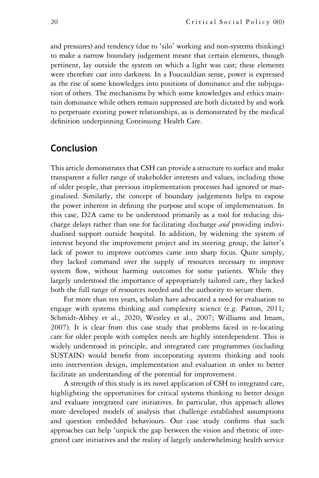and pressures) and tendency (due to 'silo' working and non-systems thinking) to make a narrow boundary judgement meant that certain elements, though pertinent, lay outside the system on which a light was cast; these elements were therefore cast into darkness. In a Foucauldian sense, power is expressed as the rise of some knowledges into positions of dominance and the subjugation of others. The mechanisms by which some knowledges and ethics maintain dominance while others remain suppressed are both dictated by and work to perpetuate existing power relationships, as is demonstrated by the medical definition underpinning Continuing Health Care.

# Conclusion

This article demonstrates that CSH can provide a structure to surface and make transparent a fuller range of stakeholder interests and values, including those of older people, that previous implementation processes had ignored or marginalised. Similarly, the concept of boundary judgements helps to expose the power inherent in defining the purpose and scope of implementation. In this case, D2A came to be understood primarily as a tool for reducing discharge delays rather than one for facilitating discharge and providing individualised support outside hospital. In addition, by widening the system of interest beyond the improvement project and its steering group, the latter's lack of power to improve outcomes came into sharp focus. Quite simply, they lacked command over the supply of resources necessary to improve system flow, without harming outcomes for some patients. While they largely understood the importance of appropriately tailored care, they lacked both the full range of resources needed and the authority to secure them.

For more than ten years, scholars have advocated a need for evaluation to engage with systems thinking and complexity science (e.g. Patton, 2011; Schmidt-Abbey et al., 2020; Westley et al., 2007; Williams and Imam, 2007). It is clear from this case study that problems faced in re-locating care for older people with complex needs are highly interdependent. This is widely understood in principle, and integrated care programmes (including SUSTAIN) would benefit from incorporating systems thinking and tools into intervention design, implementation and evaluation in order to better facilitate an understanding of the potential for improvement.

A strength of this study is its novel application of CSH to integrated care, highlighting the opportunities for critical systems thinking to better design and evaluate integrated care initiatives. In particular, this approach allows more developed models of analysis that challenge established assumptions and question embedded behaviours. Our case study confirms that such approaches can help 'unpick the gap between the vision and rhetoric of integrated care initiatives and the reality of largely underwhelming health service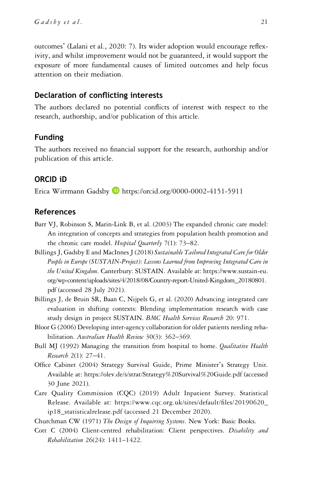outcomes' (Lalani et al., 2020: 7). Its wider adoption would encourage reflexivity, and whilst improvement would not be guaranteed, it would support the exposure of more fundamental causes of limited outcomes and help focus attention on their mediation.

#### Declaration of conflicting interests

The authors declared no potential conflicts of interest with respect to the research, authorship, and/or publication of this article.

#### Funding

The authors received no financial support for the research, authorship and/or publication of this article.

#### ORCID iD

Erica Wirrmann Gadsby <https://orcid.org/0000-0002-4151-5911>

#### References

- Barr VJ, Robinson S, Marin-Link B, et al. (2003) The expanded chronic care model: An integration of concepts and strategies from population health promotion and the chronic care model. Hospital Quarterly 7(1): 73–82.
- Billings J, Gadsby E and MacInnes J (2018) Sustainable Tailored Integrated Care for Older People in Europe (SUSTAIN-Project): Lessons Learned from Improving Integrated Care in the United Kingdom. Canterbury: SUSTAIN. Available at: [https://www.sustain-eu.](https://www.sustain-eu.org/wp-content/uploads/sites/4/2018/08/Country-report-United-Kingdom_20180801.pdf) [org/wp-content/uploads/sites/4/2018/08/Country-report-United-Kingdom\\_20180801.](https://www.sustain-eu.org/wp-content/uploads/sites/4/2018/08/Country-report-United-Kingdom_20180801.pdf) [pdf](https://www.sustain-eu.org/wp-content/uploads/sites/4/2018/08/Country-report-United-Kingdom_20180801.pdf) (accessed 28 July 2021).
- Billings J, de Bruin SR, Baan C, Nijpels G, et al. (2020) Advancing integrated care evaluation in shifting contexts: Blending implementation research with case study design in project SUSTAIN. BMC Health Services Research 20: 971.
- Bloor G (2006) Developing inter-agency collaboration for older patients needing rehabilitation. Australian Health Review 30(3): 362-369.
- Bull MJ (1992) Managing the transition from hospital to home. Qualitative Health Research 2(1): 27–41.
- Office Cabinet (2004) Strategy Survival Guide, Prime Minister's Strategy Unit. Available at:<https://olev.de/s/strat/Strategy%20Survival%20Guide.pdf> (accessed 30 June 2021).
- Care Quality Commission (CQC) (2019) Adult Inpatient Survey. Statistical Release. Available at: [https://www.cqc.org.uk/sites/default/](https://www.cqc.org.uk/sites/default/files/20190620_ip18_statisticalrelease.pdf)files/20190620\_ [ip18\\_statisticalrelease.pdf](https://www.cqc.org.uk/sites/default/files/20190620_ip18_statisticalrelease.pdf) (accessed 21 December 2020).
- Churchman CW (1971) The Design of Inquiring Systems. New York: Basic Books.
- Cott C (2004) Client-centred rehabilitation: Client perspectives. Disability and Rehabilitation 26(24): 1411–1422.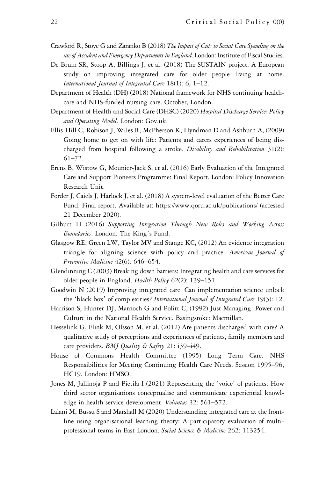- Crawford R, Stoye G and Zaranko B (2018) The Impact of Cuts to Social Care Spending on the use of Accident and Emergency Departments in England. London: Institute of Fiscal Studies.
- De Bruin SR, Stoop A, Billings J, et al. (2018) The SUSTAIN project: A European study on improving integrated care for older people living at home. International Journal of Integrated Care 18(1): 6, 1–12.
- Department of Health (DH) (2018) National framework for NHS continuing healthcare and NHS-funded nursing care. October, London.
- Department of Health and Social Care (DHSC) (2020) Hospital Discharge Service: Policy and Operating Model. London: Gov.uk.
- Ellis-Hill C, Robison J, Wiles R, McPherson K, Hyndman D and Ashburn A, (2009) Going home to get on with life: Patients and carers experiences of being discharged from hospital following a stroke. Disability and Rehabilitation 31(2): 61–72.
- Erens B, Wistow G, Mounier-Jack S, et al. (2016) Early Evaluation of the Integrated Care and Support Pioneers Programme: Final Report. London: Policy Innovation Research Unit.
- Forder J, Caiels J, Harlock J, et al. (2018) A system-level evaluation of the Better Care Fund: Final report. Available at:<https://www.qoru.ac.uk/publications/> (accessed 21 December 2020).
- Gilburt H (2016) Supporting Integration Through New Roles and Working Across Boundaries. London: The King's Fund.
- Glasgow RE, Green LW, Taylor MV and Stange KC, (2012) An evidence integration triangle for aligning science with policy and practice. American Journal of Preventive Medicine 42(6): 646–654.
- Glendinning C (2003) Breaking down barriers: Integrating health and care services for older people in England. Health Policy 62(2): 139-151.
- Goodwin N (2019) Improving integrated care: Can implementation science unlock the 'black box' of complexities? International Journal of Integrated Care 19(3): 12.
- Harrison S, Hunter DJ, Marnoch G and Politt C, (1992) Just Managing: Power and Culture in the National Health Service. Basingstoke: Macmillan.
- Hesselink G, Flink M, Olsson M, et al. (2012) Are patients discharged with care? A qualitative study of perceptions and experiences of patients, family members and care providers. BMJ Quality & Safety 21: i39-i49.
- House of Commons Health Committee (1995) Long Term Care: NHS Responsibilities for Meeting Continuing Health Care Needs. Session 1995–96, HC19. London: HMSO.
- Jones M, Jallinoja P and Pietila I (2021) Representing the 'voice' of patients: How third sector organisations conceptualise and communicate experiential knowledge in health service development. Voluntas 32: 561–572.
- Lalani M, Bussu S and Marshall M (2020) Understanding integrated care at the frontline using organisational learning theory: A participatory evaluation of multiprofessional teams in East London. Social Science & Medicine 262: 113254.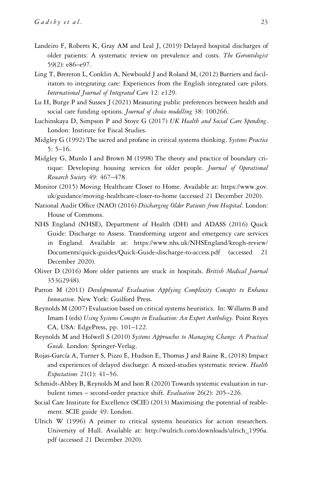- Landeiro F, Roberts K, Gray AM and Leal J, (2019) Delayed hospital discharges of older patients: A systematic review on prevalence and costs. The Gerontologist 59(2): e86–e97.
- Ling T, Brereton L, Conklin A, Newbould J and Roland M, (2012) Barriers and facilitators to integrating care: Experiences from the English integrated care pilots. International Journal of Integrated Care 12: e129.
- Lu H, Burge P and Sussex J (2021) Measuring public preferences between health and social care funding options. Journal of choice modelling 38: 100266.
- Luchinskaya D, Simpson P and Stoye G (2017) UK Health and Social Care Spending. London: Institute for Fiscal Studies.
- Midgley G (1992) The sacred and profane in critical systems thinking. Systems Practice  $5: 5-16.$
- Midgley G, Munlo I and Brown M (1998) The theory and practice of boundary critique: Developing housing services for older people. Journal of Operational Research Society 49: 467–478.
- Monitor (2015) Moving Healthcare Closer to Home. Available at: [https://www.gov.](https://www.gov.uk/guidance/moving-healthcare-closer-to-home) [uk/guidance/moving-healthcare-closer-to-home](https://www.gov.uk/guidance/moving-healthcare-closer-to-home) (accessed 21 December 2020).
- National Audit Office (NAO) (2016) Discharging Older Patients from Hospital. London: House of Commons.
- NHS England (NHSE), Department of Health (DH) and ADASS (2016) Quick Guide: Discharge to Assess. Transforming urgent and emergency care services in England. Available at: [https://www.nhs.uk/NHSEngland/keogh-review/](https://www.nhs.uk/NHSEngland/keogh-review/Documents/quick-guides/Quick-Guide-discharge-to-access.pdf) [Documents/quick-guides/Quick-Guide-discharge-to-access.pdf](https://www.nhs.uk/NHSEngland/keogh-review/Documents/quick-guides/Quick-Guide-discharge-to-access.pdf) (accessed 21 December 2020).
- Oliver D (2016) More older patients are stuck in hospitals. British Medical Journal 353(i2948).
- Patton M (2011) Developmental Evaluation Applying Complexity Concepts to Enhance Innovation. New York: Guilford Press.
- Reynolds M (2007) Evaluation based on critical systems heuristics. In: Willams B and Imam I (eds) Using Systems Concepts in Evaluation: An Expert Anthology. Point Reyes CA, USA: EdgePress, pp. 101–122.
- Reynolds M and Holwell S (2010) Systems Approaches to Managing Change: A Practical Guide. London: Springer-Verlag.
- Rojas-García A, Turner S, Pizzo E, Hudson E, Thomas J and Raine R, (2018) Impact and experiences of delayed discharge: A mixed-studies systematic review. Health Expectations 21(1): 41–56.
- Schmidt-Abbey B, Reynolds M and Ison R (2020) Towards systemic evaluation in turbulent times – second-order practice shift. Evaluation 26(2): 205–226.
- Social Care Institute for Excellence (SCIE) (2013) Maximising the potential of reablement. SCIE guide 49. London.
- Ulrich W (1996) A primer to critical systems heuristics for action researchers. University of Hull. Available at: [http://wulrich.com/downloads/ulrich\\_1996a.](http://wulrich.com/downloads/ulrich_1996a.pdf) [pdf](http://wulrich.com/downloads/ulrich_1996a.pdf) (accessed 21 December 2020).